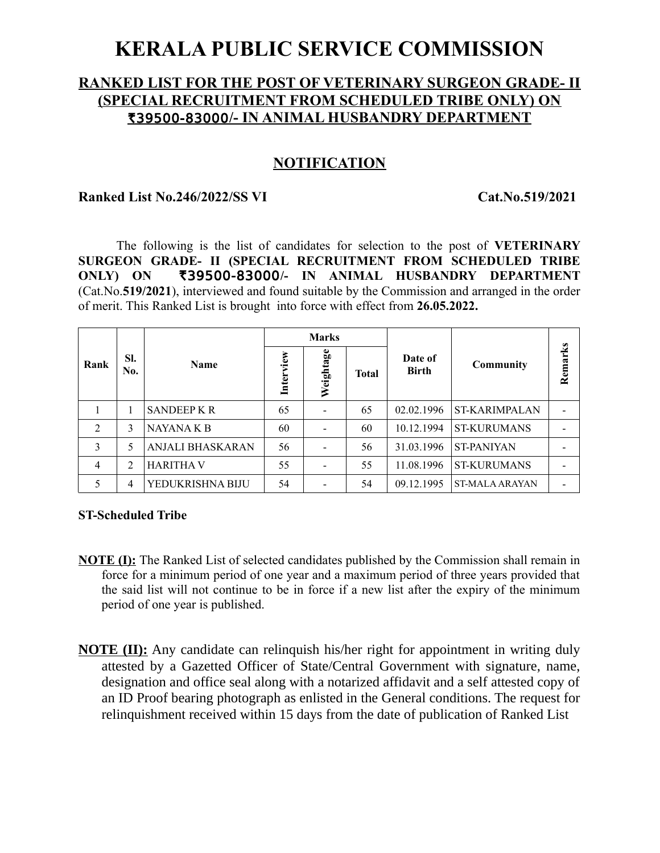# **KERALA PUBLIC SERVICE COMMISSION**

# **RANKED LIST FOR THE POST OF VETERINARY SURGEON GRADE- II (SPECIAL RECRUITMENT FROM SCHEDULED TRIBE ONLY) ON** R39500-83000**/- IN ANIMAL HUSBANDRY DEPARTMENT**

# **NOTIFICATION**

#### **Ranked List No.246/2022/SS VI Cat.No.519/2021**

The following is the list of candidates for selection to the post of **VETERINARY SURGEON GRADE- II (SPECIAL RECRUITMENT FROM SCHEDULED TRIBE ONLY) ON** R39500-83000**/- IN ANIMAL HUSBANDRY DEPARTMENT** (Cat.No.**519/2021**), interviewed and found suitable by the Commission and arranged in the order of merit. This Ranked List is brought into force with effect from **26.05.2022.**

|                |            |                  | <b>Marks</b> |           |              |                         |                       |                          |
|----------------|------------|------------------|--------------|-----------|--------------|-------------------------|-----------------------|--------------------------|
| Rank           | SI.<br>No. | <b>Name</b>      | Interview    | Weightage | <b>Total</b> | Date of<br><b>Birth</b> | Community             | Remarks                  |
|                |            | <b>SANDEEPKR</b> | 65           |           | 65           | 02.02.1996              | <b>ST-KARIMPALAN</b>  |                          |
| $\overline{2}$ | 3          | NAYANA K B       | 60           |           | 60           | 10.12.1994              | <b>ST-KURUMANS</b>    |                          |
| 3              | 5          | ANJALI BHASKARAN | 56           |           | 56           | 31.03.1996              | <b>ST-PANIYAN</b>     |                          |
| 4              | 2          | <b>HARITHA V</b> | 55           |           | 55           | 11.08.1996              | <b>ST-KURUMANS</b>    |                          |
|                | 4          | YEDUKRISHNA BIJU | 54           |           | 54           | 09.12.1995              | <b>ST-MALA ARAYAN</b> | $\overline{\phantom{0}}$ |

#### **ST-Scheduled Tribe**

- **NOTE (I):** The Ranked List of selected candidates published by the Commission shall remain in force for a minimum period of one year and a maximum period of three years provided that the said list will not continue to be in force if a new list after the expiry of the minimum period of one year is published.
- **NOTE (II):** Any candidate can relinquish his/her right for appointment in writing duly attested by a Gazetted Officer of State/Central Government with signature, name, designation and office seal along with a notarized affidavit and a self attested copy of an ID Proof bearing photograph as enlisted in the General conditions. The request for relinquishment received within 15 days from the date of publication of Ranked List